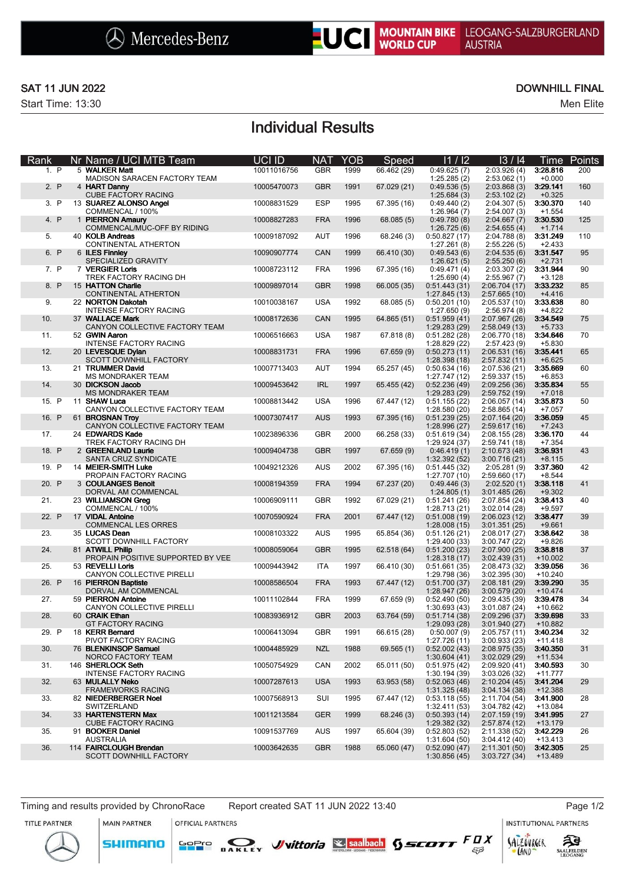

### SAT 11 JUN 2022 DOWNHILL FINAL

Start Time: 13:30 Men Elite

# Individual Results

| Rank  |  | Nr Name / UCI MTB Team                                  | <b>UCI ID</b> | <b>NAT</b> | YOB  | Speed       | 11 / 12                       | 13/14                          | Time                  | Points |
|-------|--|---------------------------------------------------------|---------------|------------|------|-------------|-------------------------------|--------------------------------|-----------------------|--------|
| 1. P  |  | 5 WALKER Matt<br>MADISON SARACEN FACTORY TEAM           | 10011016756   | <b>GBR</b> | 1999 | 66.462 (29) | 0:49.625(7)<br>1:25.285(2)    | 2:03.926(4)<br>2:53.062(1)     | 3:28.816<br>$+0.000$  | 200    |
| 2. P  |  | 4 HART Danny<br><b>CUBE FACTORY RACING</b>              | 10005470073   | <b>GBR</b> | 1991 | 67.029 (21) | 0:49.536(5)<br>1:25.684(3)    | 2:03.868(3)<br>2:53.102(2)     | 3:29.141<br>$+0.325$  | 160    |
| 3. P  |  | 13 SUAREZ ALONSO Angel<br>COMMENCAL / 100%              | 10008831529   | <b>ESP</b> | 1995 | 67.395 (16) | 0:49.440(2)<br>1:26.964(7)    | 2:04.307(5)<br>2:54.007(3)     | 3:30.370<br>$+1.554$  | 140    |
| 4. P  |  | 1 PIERRON Amaury<br>COMMENCAL/MUC-OFF BY RIDING         | 10008827283   | <b>FRA</b> | 1996 | 68.085(5)   | 0:49.780(8)<br>1:26.725(6)    | 2:04.667(7)<br>2:54.655(4)     | 3:30.530<br>$+1.714$  | 125    |
| 5.    |  | 40 KOLB Andreas                                         | 10009187092   | <b>AUT</b> | 1996 | 68.246 (3)  | 0:50.827(17)                  | 2:04.788 (8)                   | 3:31.249<br>$+2.433$  | 110    |
| 6. P  |  | CONTINENTAL ATHERTON<br>6 ILES Finnley                  | 10090907774   | CAN        | 1999 | 66.410 (30) | 1:27.261(8)<br>0:49.543(6)    | 2:55.226(5)<br>2:04.535(6)     | 3:31.547              | 95     |
| 7. P  |  | SPECIALIZED GRAVITY<br>7 VERGIER Loris                  | 10008723112   | <b>FRA</b> | 1996 | 67.395 (16) | 1:26.621(5)<br>0:49.471(4)    | 2:55.250(6)<br>2:03.307(2)     | $+2.731$<br>3:31.944  | 90     |
| 8. P  |  | TREK FACTORY RACING DH<br>15 HATTON Charlie             | 10009897014   | <b>GBR</b> | 1998 | 66.005 (35) | 1:25.690(4)<br>0:51.443(31)   | 2:55.967(7)<br>2:06.704 (17)   | $+3.128$<br>3:33.232  | 85     |
| 9.    |  | CONTINENTAL ATHERTON<br>22 NORTON Dakotah               | 10010038167   | <b>USA</b> | 1992 | 68.085 (5)  | 1:27.845(13)<br>0:50.201(10)  | 2:57.665 (10)<br>2:05.537 (10) | $+4.416$<br>3:33.638  | 80     |
| 10.   |  | <b>INTENSE FACTORY RACING</b><br>37 WALLACE Mark        | 10008172636   | CAN        | 1995 | 64.865 (51) | 1:27.650(9)<br>0:51.959(41)   | 2:56.974(8)<br>2:07.967 (26)   | $+4.822$<br>3:34.549  | 75     |
| 11.   |  | CANYON COLLECTIVE FACTORY TEAM<br>52 GWIN Aaron         | 10006516663   | <b>USA</b> | 1987 | 67.818 (8)  | 1:29.283(29)<br>0:51.282(28)  | 2:58.049(13)<br>2:06.770 (18)  | $+5.733$<br>3:34.646  | 70     |
| 12.   |  | <b>INTENSE FACTORY RACING</b><br>20 LEVESQUE Dylan      | 10008831731   | <b>FRA</b> | 1996 | 67.659(9)   | 1:28.829 (22)<br>0:50.273(11) | 2:57.423(9)<br>2:06.531(16)    | $+5.830$<br>3:35.441  | 65     |
| 13.   |  | SCOTT DOWNHILL FACTORY<br>21 TRUMMER David              | 10007713403   | AUT        | 1994 | 65.257 (45) | 1:28.398(18)<br>0:50.634(16)  | 2:57.832 (11)<br>2:07.536 (21) | $+6.625$<br>3:35.669  | 60     |
| 14.   |  | <b>MS MONDRAKER TEAM</b><br>30 DICKSON Jacob            | 10009453642   | <b>IRL</b> | 1997 | 65.455 (42) | 1:27.747(12)<br>0:52.236(49)  | 2:59.337 (15)<br>2:09.256(36)  | $+6.853$<br>3:35.834  | 55     |
| 15. P |  | MS MONDRAKER TEAM<br>11 SHAW Luca                       | 10008813442   | <b>USA</b> | 1996 | 67.447 (12) | 1:29.283 (29)<br>0:51.155(22) | 2:59.752 (19)<br>2:06.057 (14) | $+7.018$<br>3:35.873  | 50     |
| 16. P |  | CANYON COLLECTIVE FACTORY TEAM<br>61 BROSNAN Troy       | 10007307417   | <b>AUS</b> | 1993 | 67.395 (16) | 1:28.580(20)<br>0:51.239(25)  | 2:58.865(14)<br>2:07.164 (20)  | $+7.057$<br>3:36.059  | 45     |
| 17.   |  | CANYON COLLECTIVE FACTORY TEAM<br>24 EDWARDS Kade       | 10023896336   | <b>GBR</b> | 2000 | 66.258 (33) | 1:28.996 (27)<br>0:51.619(34) | 2:59.617(16)<br>2:08.155 (28)  | $+7.243$<br>3:36.170  | 44     |
| 18. P |  | TREK FACTORY RACING DH<br>2 GREENLAND Laurie            | 10009404738   | <b>GBR</b> | 1997 | 67.659(9)   | 1:29.924 (37)<br>0:46.419(1)  | 2:59.741 (18)<br>2:10.673 (48) | $+7.354$<br>3:36.931  | 43     |
| 19. P |  | SANTA CRUZ SYNDICATE<br>14 MEIER-SMITH Luke             | 10049212326   | AUS        | 2002 | 67.395 (16) | 1:32.392(52)<br>0:51.445(32)  | 3:00.716 (21)<br>2:05.281(9)   | $+8.115$<br>3:37.360  | 42     |
| 20. P |  | PROPAIN FACTORY RACING<br>3 COULANGES Benoit            | 10008194359   | <b>FRA</b> | 1994 | 67.237 (20) | 1:27.707 (10)<br>0:49.446(3)  | 2:59.660 (17)<br>2:02.520(1)   | $+8.544$<br>3:38.118  | 41     |
| 21.   |  | DORVAL AM COMMENCAL<br>23 WILLIAMSON Greg               | 10006909111   | <b>GBR</b> | 1992 | 67.029 (21) | 1:24.805(1)<br>0:51.241(26)   | 3:01.485(26)<br>2:07.854 (24)  | $+9.302$<br>3:38.413  | 40     |
| 22. P |  | COMMENCAL / 100%<br>17 VIDAL Antoine                    | 10070590924   | <b>FRA</b> | 2001 | 67.447 (12) | 1:28.713 (21)<br>0:51.008(19) | 3:02.014 (28)<br>2:06.023(12)  | $+9.597$<br>3:38.477  | 39     |
| 23.   |  | <b>COMMENCAL LES ORRES</b><br>35 LUCAS Dean             | 10008103322   | <b>AUS</b> | 1995 | 65.854 (36) | 1:28.008(15)<br>0:51.126(21)  | 3:01.351(25)<br>2:08.017 (27)  | $+9.661$<br>3:38.642  | 38     |
| 24.   |  | SCOTT DOWNHILL FACTORY<br>81 ATWILL Philip              | 10008059064   | <b>GBR</b> | 1995 | 62.518 (64) | 1:29.400 (33)<br>0:51.200(23) | 3:00.747 (22)<br>2:07.900 (25) | $+9.826$<br>3:38.818  | 37     |
| 25.   |  | PROPAIN POSITIVE SUPPORTED BY VEE<br>53 REVELLI Loris   | 10009443942   | <b>ITA</b> | 1997 | 66.410 (30) | 1:28.318(17)<br>0:51.661(35)  | 3:02.439 (31)<br>2:08.473 (32) | $+10.002$<br>3:39.056 | 36     |
|       |  | CANYON COLLECTIVE PIRELLI                               |               |            |      | 67.447 (12) | 1:29.798 (36)<br>0:51.700(37) | 3:02.395 (30)<br>2:08.181 (29) | $+10.240$<br>3:39.290 |        |
| 26. P |  | 16 PIERRON Baptiste<br>DORVAL AM COMMENCAL              | 10008586504   | <b>FRA</b> | 1993 |             | 1:28.947(26)                  | 3:00.579 (20)                  | $+10.474$             | 35     |
| 27.   |  | 59 PIERRON Antoine<br>CANYON COLLECTIVE PIRELLI         | 10011102844   | <b>FRA</b> | 1999 | 67.659 (9)  | 0:52.490(50)<br>1:30.693(43)  | 2:09.435 (39)<br>3:01.087 (24) | 3:39.478<br>$+10.662$ | 34     |
| 28.   |  | 60 CRAIK Ethan<br>GT FACTORY RACING                     | 10083936912   | <b>GBR</b> | 2003 | 63.764 (59) | 0:51.714(38)<br>1:29.093(28)  | 2:09.296 (37)<br>3:01.940(27)  | 3:39.698<br>+10.882   | 33     |
| 29. P |  | 18 KERR Bernard<br>PIVOT FACTORY RACING                 | 10006413094   | <b>GBR</b> | 1991 | 66.615 (28) | 0:50.007(9)<br>1:27.726 (11)  | 2:05.757(11)<br>3:00.933 (23)  | 3:40.234<br>$+11.418$ | 32     |
| 30.   |  | 76 BLENKINSOP Samuel<br>NORCO FACTORY TEAM              | 10004485929   | <b>NZL</b> | 1988 | 69.565 (1)  | 0:52.002(43)<br>1:30.604(41)  | 2:08.975 (35)<br>3:02.029 (29) | 3:40.350<br>$+11.534$ | 31     |
| 31.   |  | 146 SHERLOCK Seth<br><b>INTENSE FACTORY RACING</b>      | 10050754929   | CAN        | 2002 | 65.011 (50) | 0:51.975(42)<br>1:30.194 (39) | 2:09.920 (41)<br>3:03.026 (32) | 3:40.593<br>$+11.777$ | 30     |
| 32.   |  | 63 MULALLY Neko<br><b>FRAMEWORKS RACING</b>             | 10007287613   | <b>USA</b> | 1993 | 63.953 (58) | 0:52.063(46)<br>1:31.325(48)  | 2:10.204 (45)<br>3:04.134(38)  | 3:41.204<br>+12.388   | 29     |
| 33.   |  | 82 NIEDERBERGER Noel<br>SWITZERLAND                     | 10007568913   | SUI        | 1995 | 67.447 (12) | 0:53.118(55)<br>1:32.411(53)  | 2:11.704 (54)<br>3:04.782 (42) | 3:41.900<br>+13.084   | 28     |
| 34.   |  | 33 HARTENSTERN Max<br><b>CUBE FACTORY RACING</b>        | 10011213584   | <b>GER</b> | 1999 | 68.246 (3)  | 0:50.393(14)<br>1:29.382 (32) | 2:07.159 (19)<br>2:57.874 (12) | 3:41.995<br>$+13.179$ | 27     |
| 35.   |  | 91 BOOKER Daniel<br><b>AUSTRALIA</b>                    | 10091537769   | AUS        | 1997 | 65.604 (39) | 0:52.803(52)<br>1:31.604 (50) | 2:11.338 (52)<br>3:04.412 (40) | 3:42.229<br>$+13.413$ | 26     |
| 36.   |  | 114 FAIRCLOUGH Brendan<br><b>SCOTT DOWNHILL FACTORY</b> | 10003642635   | <b>GBR</b> | 1988 | 65.060 (47) | 0:52.090(47)<br>1:30.856(45)  | 2:11.301 (50)<br>3:03.727(34)  | 3:42.305<br>+13.489   | 25     |
|       |  |                                                         |               |            |      |             |                               |                                |                       |        |

Timing and results provided by ChronoRace Report created SAT 11 JUN 2022 13:40 Page 1/2

MAIN PARTNER

**SHIMANO** 

OFFICIAL PARTNERS

SOPIO DAKLEY Vittoria & saabach SSCOTT FUX

**INSTITUTIONAL PARTNERS** 

ट्रीडे

**SAALFELDEN** 

SALZOVREER

LAND

 $53$